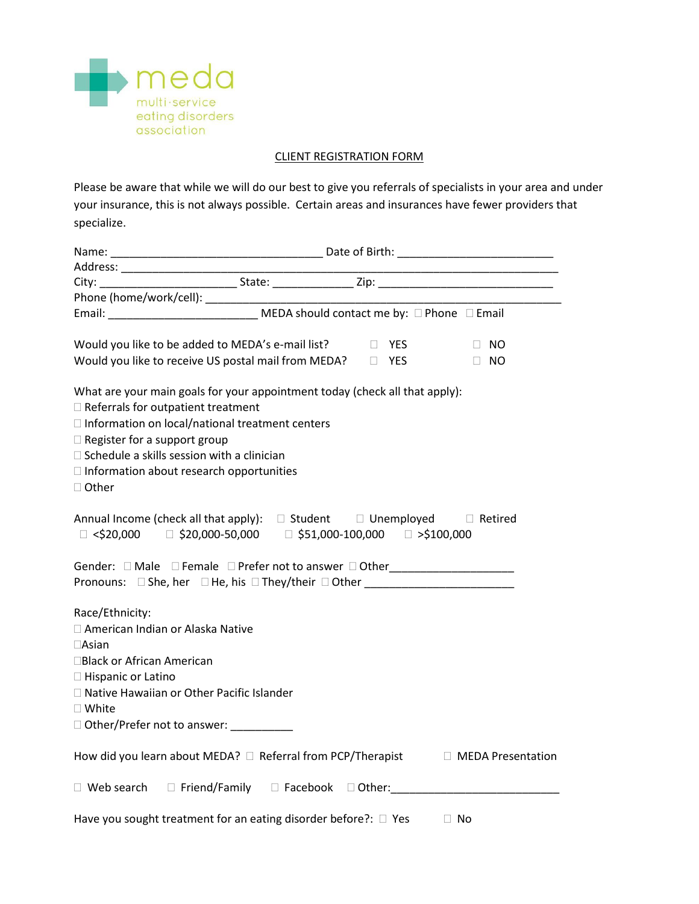

## CLIENT REGISTRATION FORM

Please be aware that while we will do our best to give you referrals of specialists in your area and under your insurance, this is not always possible. Certain areas and insurances have fewer providers that specialize.

|                                                                                                 |  |  |  | <u> 1989 - Johann John Stone, mars eta biztanleria (</u> |
|-------------------------------------------------------------------------------------------------|--|--|--|----------------------------------------------------------|
|                                                                                                 |  |  |  |                                                          |
|                                                                                                 |  |  |  |                                                          |
| Email: ______________________________ MEDA should contact me by: □ Phone □ Email                |  |  |  |                                                          |
|                                                                                                 |  |  |  |                                                          |
| Would you like to be added to MEDA's e-mail list? Dumber 2015                                   |  |  |  | $\Box$ NO                                                |
| Would you like to receive US postal mail from MEDA?<br><u> U YES</u>                            |  |  |  | $\Box$ NO                                                |
|                                                                                                 |  |  |  |                                                          |
| What are your main goals for your appointment today (check all that apply):                     |  |  |  |                                                          |
| $\Box$ Referrals for outpatient treatment                                                       |  |  |  |                                                          |
| □ Information on local/national treatment centers                                               |  |  |  |                                                          |
| $\Box$ Register for a support group                                                             |  |  |  |                                                          |
| $\Box$ Schedule a skills session with a clinician                                               |  |  |  |                                                          |
| $\Box$ Information about research opportunities                                                 |  |  |  |                                                          |
| $\Box$ Other                                                                                    |  |  |  |                                                          |
|                                                                                                 |  |  |  |                                                          |
| Annual Income (check all that apply): □ Student □ Unemployed □ Retired                          |  |  |  |                                                          |
| $\Box$ <\$20,000 $\Box$ \$20,000-50,000 $\Box$ \$51,000-100,000 $\Box$ >\$100,000               |  |  |  |                                                          |
|                                                                                                 |  |  |  |                                                          |
|                                                                                                 |  |  |  |                                                          |
| Pronouns: □ She, her □ He, his □ They/their □ Other ____________________________                |  |  |  |                                                          |
|                                                                                                 |  |  |  |                                                          |
| Race/Ethnicity:                                                                                 |  |  |  |                                                          |
| □ American Indian or Alaska Native                                                              |  |  |  |                                                          |
| $\Box$ Asian<br>□Black or African American                                                      |  |  |  |                                                          |
|                                                                                                 |  |  |  |                                                          |
| □ Hispanic or Latino<br>□ Native Hawaiian or Other Pacific Islander                             |  |  |  |                                                          |
| $\square$ White                                                                                 |  |  |  |                                                          |
|                                                                                                 |  |  |  |                                                          |
| □ Other/Prefer not to answer: _________                                                         |  |  |  |                                                          |
| How did you learn about MEDA? $\square$ Referral from PCP/Therapist $\square$ MEDA Presentation |  |  |  |                                                          |
|                                                                                                 |  |  |  |                                                          |
| □ Web search □ Friend/Family □ Facebook □ Other: ______________________________                 |  |  |  |                                                          |
|                                                                                                 |  |  |  |                                                          |
| Have you sought treatment for an eating disorder before?: □ Yes                                 |  |  |  | $\Box$ No                                                |